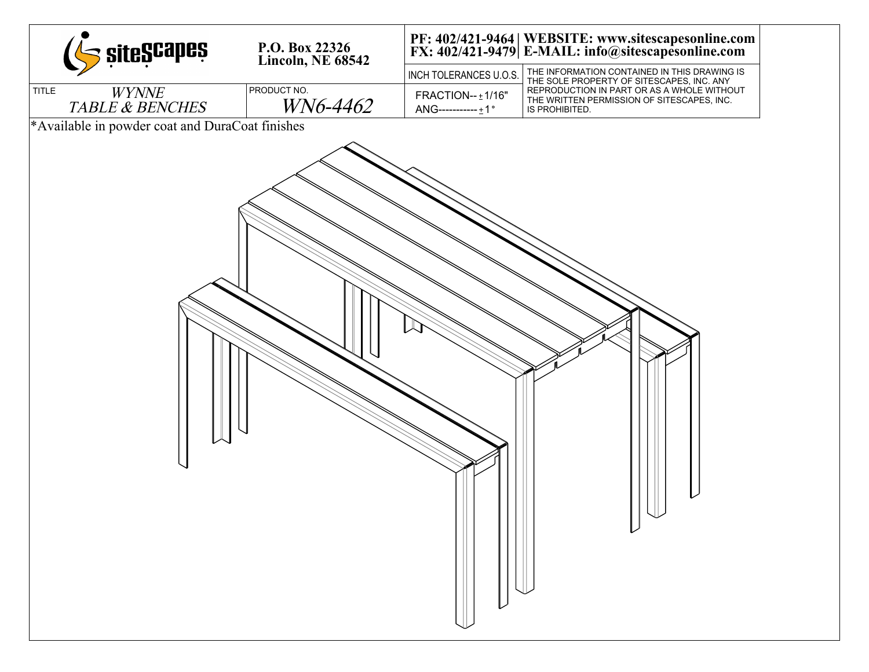